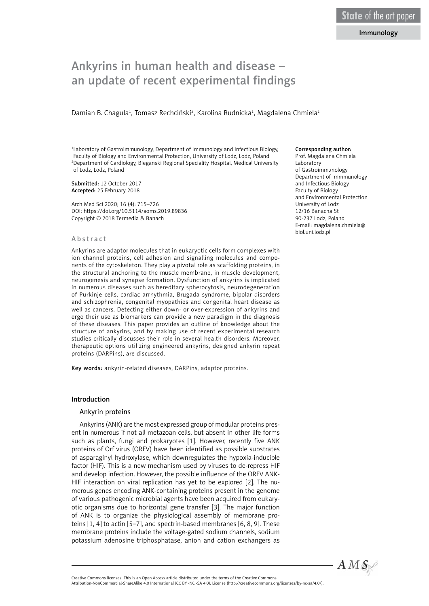# Ankyrins in human health and disease – an update of recent experimental findings

Damian B. Chagula<sup>1</sup>, Tomasz Rechciński<sup>2</sup>, Karolina Rudnicka<sup>1</sup>, Magdalena Chmiela<sup>1</sup>

1 Laboratory of Gastroimmunology, Department of Immunology and Infectious Biology, Faculty of Biology and Environmental Protection, University of Lodz, Lodz, Poland 2 Department of Cardiology, Bieganski Regional Speciality Hospital, Medical University of Lodz, Lodz, Poland

Submitted: 12 October 2017 Accepted: 25 February 2018

Arch Med Sci 2020; 16 (4): 715–726 DOI: https://doi.org/10.5114/aoms.2019.89836 Copyright © 2018 Termedia & Banach

#### Abstract

Ankyrins are adaptor molecules that in eukaryotic cells form complexes with ion channel proteins, cell adhesion and signalling molecules and components of the cytoskeleton. They play a pivotal role as scaffolding proteins, in the structural anchoring to the muscle membrane, in muscle development, neurogenesis and synapse formation. Dysfunction of ankyrins is implicated in numerous diseases such as hereditary spherocytosis, neurodegeneration of Purkinje cells, cardiac arrhythmia, Brugada syndrome, bipolar disorders and schizophrenia, congenital myopathies and congenital heart disease as well as cancers. Detecting either down- or over-expression of ankyrins and ergo their use as biomarkers can provide a new paradigm in the diagnosis of these diseases. This paper provides an outline of knowledge about the structure of ankyrins, and by making use of recent experimental research studies critically discusses their role in several health disorders. Moreover, therapeutic options utilizing engineered ankyrins, designed ankyrin repeat proteins (DARPins), are discussed.

Key words: ankyrin-related diseases, DARPins, adaptor proteins.

#### Introduction

#### Ankyrin proteins

Ankyrins (ANK) are the most expressed group of modular proteins present in numerous if not all metazoan cells, but absent in other life forms such as plants, fungi and prokaryotes [1]. However, recently five ANK proteins of Orf virus (ORFV) have been identified as possible substrates of asparaginyl hydroxylase, which downregulates the hypoxia-inducible factor (HIF). This is a new mechanism used by viruses to de-repress HIF and develop infection. However, the possible influence of the ORFV ANK-HIF interaction on viral replication has yet to be explored [2]. The numerous genes encoding ANK-containing proteins present in the genome of various pathogenic microbial agents have been acquired from eukaryotic organisms due to horizontal gene transfer [3]. The major function of ANK is to organize the physiological assembly of membrane proteins [1, 4] to actin [5–7], and spectrin-based membranes [6, 8, 9]. These membrane proteins include the voltage-gated sodium channels, sodium potassium adenosine triphosphatase, anion and cation exchangers as

### Corresponding author:

Prof. Magdalena Chmiela Laboratory of Gastroimmunology Department of Immmunology and Infectious Biology Faculty of Biology and Environmental Protection University of Lodz 12/16 Banacha St 90-237 Lodz, Poland E-mail: magdalena.chmiela@ biol.uni.lodz.pl



Attribution-NonCommercial-ShareAlike 4.0 International (CC BY -NC -SA 4.0). License (http://creativecommons.org/licenses/by-nc-sa/4.0/).

Creative Commons licenses: This is an Open Access article distributed under the terms of the Creative Commons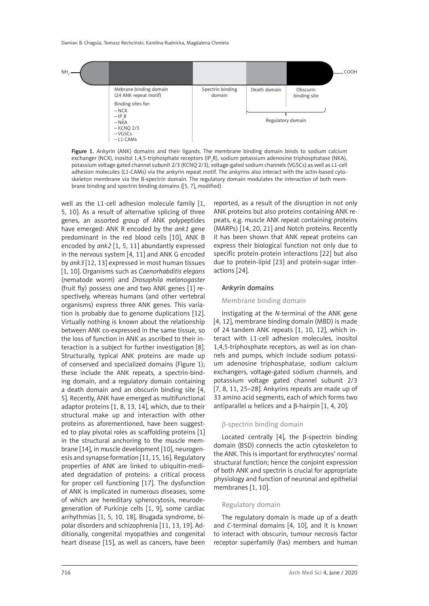

Figure 1. Ankyrin (ANK) domains and their ligands. The membrane binding domain binds to sodium calcium exchanger (NCX), inositol 1,4,5-triphosphate receptors (IP<sub>3</sub>R), sodium potassium adenosine triphosphatase (NKA), potassium voltage gated channel subunit 2/3 (KCNQ 2/3), voltage-gated sodium channels (VGSCs) as well as L1-cell adhesion molecules (L1-CAMs) via the ankyrin repeat motif. The ankyrins also interact with the actin-based cytoskeleton membrane via the B-spectrin domain. The regulatory domain modulates the interaction of both membrane binding and spectrin binding domains ([5, 7], modified)

well as the L1-cell adhesion molecule family [1, 5, 10]. As a result of alternative splicing of three genes, an assorted group of ANK polypeptides have emerged: ANK R encoded by the *ank1* gene predominant in the red blood cells [10], ANK B encoded by *ank2* [1, 5, 11] abundantly expressed in the nervous system [4, 11] and ANK G encoded by *ank3* [12, 13] expressed in most human tissues [1, 10]. Organisms such as *Caenorhabditis elegans* (nematode worm) and *Drosophila melanogaster* (fruit fly) possess one and two ANK genes [1] respectively, whereas humans (and other vertebral organisms) express three ANK genes. This variation is probably due to genome duplications [12]. Virtually nothing is known about the relationship between ANK co-expressed in the same tissue, so the loss of function in ANK as ascribed to their interaction is a subject for further investigation [8]. Structurally, typical ANK proteins are made up of conserved and specialized domains (Figure 1); these include the ANK repeats, a spectrin-binding domain, and a regulatory domain containing a death domain and an obscurin binding site [4, 5]. Recently, ANK have emerged as multifunctional adaptor proteins [1, 8, 13, 14], which, due to their structural make up and interaction with other proteins as aforementioned, have been suggested to play pivotal roles as scaffolding proteins [1] in the structural anchoring to the muscle membrane [14], in muscle development [10], neurogenesis and synapse formation [11, 15, 16]. Regulatory properties of ANK are linked to ubiquitin-mediated degradation of proteins: a critical process for proper cell functioning [17]. The dysfunction of ANK is implicated in numerous diseases, some of which are hereditary spherocytosis, neurodegeneration of Purkinje cells [1, 9], some cardiac arrhythmias [1, 5, 10, 18], Brugada syndrome, bipolar disorders and schizophrenia [11, 13, 19]. Additionally, congenital myopathies and congenital heart disease [15], as well as cancers, have been

reported, as a result of the disruption in not only ANK proteins but also proteins containing ANK repeats, e.g. muscle ANK repeat containing proteins (MARPs) [14, 20, 21] and Notch proteins. Recently it has been shown that ANK repeat proteins can express their biological function not only due to specific protein-protein interactions [22] but also due to protein-lipid [23] and protein-sugar interactions [24].

#### Ankyrin domains

#### Membrane binding domain

Instigating at the *N*-terminal of the ANK gene [4, 12], membrane binding domain (MBD) is made of 24 tandem ANK repeats [1, 10, 12], which interact with L1-cell adhesion molecules, inositol 1,4,5-triphosphate receptors, as well as ion channels and pumps, which include sodium potassium adenosine triphosphatase, sodium calcium exchangers, voltage-gated sodium channels, and potassium voltage gated channel subunit 2/3 [7, 8, 11, 25–28]. Ankyrins repeats are made up of 33 amino acid segments, each of which forms two antiparallel  $\alpha$  helices and a  $\beta$ -hairpin [1, 4, 20].

## β-spectrin binding domain

Located centrally [4], the β-spectrin binding domain (BSD) connects the actin cytoskeleton to the ANK. This is important for erythrocytes' normal structural function; hence the conjoint expression of both ANK and spectrin is crucial for appropriate physiology and function of neuronal and epithelial membranes [1, 10].

#### Regulatory domain

The regulatory domain is made up of a death and *C*-terminal domains [4, 10], and it is known to interact with obscurin, tumour necrosis factor receptor superfamily (Fas) members and human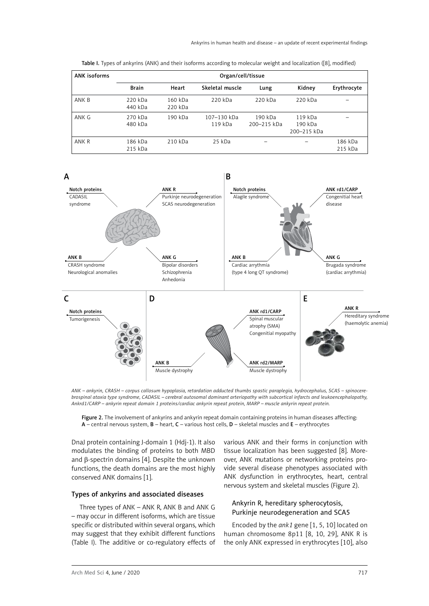| <b>ANK isoforms</b> | Organ/cell/tissue  |                    |                        |                        |                                   |                    |
|---------------------|--------------------|--------------------|------------------------|------------------------|-----------------------------------|--------------------|
|                     | <b>Brain</b>       | Heart              | Skeletal muscle        | Lung                   | Kidney                            | Erythrocyte        |
| ANK B               | 220 kDa<br>440 kDa | 160 kDa<br>220 kDa | 220 kDa                | 220 kDa                | 220 kDa                           |                    |
| ANK G               | 270 kDa<br>480 kDa | 190 kDa            | 107-130 kDa<br>119 kDa | 190 kDa<br>200-215 kDa | 119 kDa<br>190 kDa<br>200-215 kDa |                    |
| ANK R               | 186 kDa<br>215 kDa | 210 kDa            | 25 kDa                 |                        |                                   | 186 kDa<br>215 kDa |

Table I. Types of ankyrins (ANK) and their isoforms according to molecular weight and localization ([8], modified)



*ANK – ankyrin, CRASH – corpus callosum hypoplasia, retardation adducted thumbs spastic paraplegia, hydrocephalus, SCAS – spinocerebrospinal ataxia type syndrome, CADASIL – cerebral autosomal dominant arteriopathy with subcortical infarcts and leukoencephalopathy, Ankrd1/CARP – ankyrin repeat domain 1 proteins/cardiac ankyrin repeat protein, MARP – muscle ankyrin repeat protein.*

Figure 2. The involvement of ankyrins and ankyrin repeat domain containing proteins in human diseases affecting: A – central nervous system, B – heart, C – various host cells, D – skeletal muscles and E – erythrocytes

DnaJ protein containing J-domain 1 (Hdj-1). It also modulates the binding of proteins to both MBD and β-spectrin domains [4]. Despite the unknown functions, the death domains are the most highly conserved ANK domains [1].

### Types of ankyrins and associated diseases

Three types of ANK – ANK R, ANK B and ANK G – may occur in different isoforms, which are tissue specific or distributed within several organs, which may suggest that they exhibit different functions (Table I). The additive or co-regulatory effects of various ANK and their forms in conjunction with tissue localization has been suggested [8]. Moreover, ANK mutations or networking proteins provide several disease phenotypes associated with ANK dysfunction in erythrocytes, heart, central nervous system and skeletal muscles (Figure 2).

# Ankyrin R, hereditary spherocytosis, Purkinje neurodegeneration and SCA5

Encoded by the *ank1* gene [1, 5, 10] located on human chromosome 8p11 [8, 10, 29], ANK R is the only ANK expressed in erythrocytes [10], also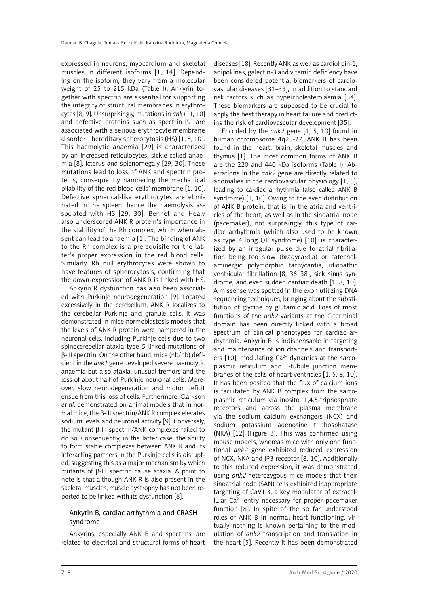expressed in neurons, myocardium and skeletal muscles in different isoforms [1, 14]. Depending on the isoform, they vary from a molecular weight of 25 to 215 kDa (Table I). Ankyrin together with spectrin are essential for supporting the integrity of structural membranes in erythrocytes [8, 9]. Unsurprisingly, mutations in *ank1* [1, 10] and defective proteins such as spectrin [9] are associated with a serious erythrocyte membrane disorder – hereditary spherocytosis (HS) [1, 8, 10]. This haemolytic anaemia [29] is characterized by an increased reticulocytes, sickle-celled anaemia [8], icterus and splenomegaly [29, 30]. These mutations lead to loss of ANK and spectrin proteins, consequently hampering the mechanical pliability of the red blood cells' membrane [1, 10]. Defective spherical-like erythrocytes are eliminated in the spleen, hence the haemolysis associated with HS [29, 30]. Bennet and Healy also underscored ANK R protein's importance in the stability of the Rh complex, which when absent can lead to anaemia [1]. The binding of ANK to the Rh complex is a prerequisite for the latter's proper expression in the red blood cells. Similarly, Rh null erythrocytes were shown to have features of spherocytosis, confirming that the down-expression of ANK R is linked with HS.

Ankyrin R dysfunction has also been associated with Purkinje neurodegeneration [9]. Located excessively in the cerebellum, ANK R localizes to the cerebellar Purkinje and granule cells. It was demonstrated in mice normoblastosis models that the levels of ANK R protein were hampered in the neuronal cells, including Purkinje cells due to two spinocerebellar ataxia type 5 linked mutations of β-III spectrin. On the other hand, mice (nb/nb) deficient in the *ank1* gene developed severe haemolytic anaemia but also ataxia, unusual tremors and the loss of about half of Purkinje neuronal cells. Moreover, slow neurodegeneration and motor deficit ensue from this loss of cells. Furthermore, Clarkson *et al*. demonstrated on animal models that in normal mice, the β-III spectrin/ANK R complex elevates sodium levels and neuronal activity [9]. Conversely, the mutant β-III spectrin/ANK complexes failed to do so. Consequently, in the latter case, the ability to form stable complexes between ANK R and its interacting partners in the Purkinje cells is disrupted, suggesting this as a major mechanism by which mutants of β-III spectrin cause ataxia. A point to note is that although ANK R is also present in the skeletal muscles, muscle dystrophy has not been reported to be linked with its dysfunction [8].

# Ankyrin B, cardiac arrhythmia and CRASH syndrome

Ankyrins, especially ANK B and spectrins, are related to electrical and structural forms of heart diseases [18]. Recently ANK as well as cardiolipin-1, adipokines, galectin-3 and vitamin deficiency have been considered potential biomarkers of cardiovascular diseases [31–33], in addition to standard risk factors such as hypercholesterolaemia [34]. These biomarkers are supposed to be crucial to apply the best therapy in heart failure and predicting the risk of cardiovascular development [35].

Encoded by the *ank2* gene [1, 5, 10] found in human chromosome 4q25-27, ANK B has been found in the heart, brain, skeletal muscles and thymus [1]. The most common forms of ANK B are the 220 and 440 kDa isoforms (Table I). Aberrations in the *ank2* gene are directly related to anomalies in the cardiovascular physiology [1, 5], leading to cardiac arrhythmia (also called ANK B syndrome) [1, 10]. Owing to the even distribution of ANK B protein, that is, in the atria and ventricles of the heart, as well as in the sinoatrial node (pacemaker), not surprisingly, this type of cardiac arrhythmia (which also used to be known as type 4 long QT syndrome) [10], is characterized by an irregular pulse due to atrial fibrillation being too slow (bradycardia) or catecholaminergic polymorphic tachycardia, idiopathic ventricular fibrillation [8, 36–38], sick sinus syndrome, and even sudden cardiac death [1, 8, 10]. A missense was spotted in the exon utilizing DNA sequencing techniques, bringing about the substitution of glycine by glutamic acid. Loss of most functions of the *ank2* variants at the *C*-terminal domain has been directly linked with a broad spectrum of clinical phenotypes for cardiac arrhythmia. Ankyrin B is indispensable in targeting and maintenance of ion channels and transporters  $[10]$ , modulating Ca<sup>2+</sup> dynamics at the sarcoplasmic reticulum and T-tubule junction membranes of the cells of heart ventricles [1, 5, 8, 10]. It has been posited that the flux of calcium ions is facilitated by ANK B complex from the sarcoplasmic reticulum via inositol 1,4,5-triphosphate receptors and across the plasma membrane via the sodium calcium exchangers (NCX) and sodium potassium adenosine triphosphatase (NKA) [12] (Figure 3). This was confirmed using mouse models, whereas mice with only one functional *ank2* gene exhibited reduced expression of NCX, NKA and IP3 receptor [8, 10]. Additionally to this reduced expression, it was demonstrated using *ank2*-heterozygous mice models that their sinoatrial node (SAN) cells exhibited inappropriate targeting of CaV1.3, a key modulator of extracellular  $Ca^{2+}$  entry necessary for proper pacemaker function [8]. In spite of the so far understood roles of ANK B in normal heart functioning, virtually nothing is known pertaining to the modulation of *ank2* transcription and translation in the heart [5]. Recently it has been demonstrated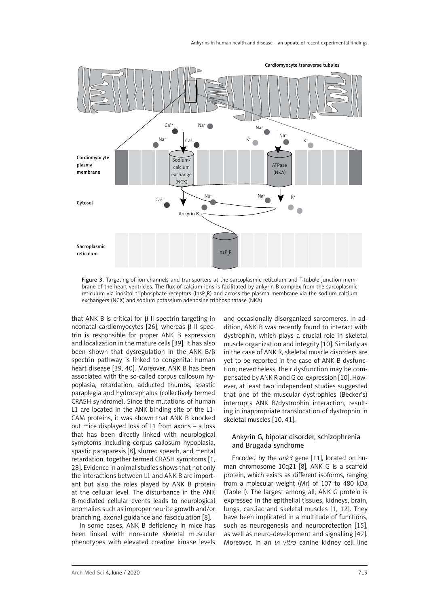

Figure 3. Targeting of ion channels and transporters at the sarcoplasmic reticulum and T-tubule junction membrane of the heart ventricles. The flux of calcium ions is facilitated by ankyrin B complex from the sarcoplasmic reticulum via inositol triphosphate receptors (InsP<sub>3</sub>R) and across the plasma membrane via the sodium calcium exchangers (NCX) and sodium potassium adenosine triphosphatase (NKA)

that ANK B is critical for  $β$  II spectrin targeting in neonatal cardiomyocytes [26], whereas β II spectrin is responsible for proper ANK B expression and localization in the mature cells [39]. It has also been shown that dysregulation in the ANK B/β spectrin pathway is linked to congenital human heart disease [39, 40]. Moreover, ANK B has been associated with the so-called corpus callosum hypoplasia, retardation, adducted thumbs, spastic paraplegia and hydrocephalus (collectively termed CRASH syndrome). Since the mutations of human L1 are located in the ANK binding site of the L1- CAM proteins, it was shown that ANK B knocked out mice displayed loss of L1 from axons – a loss that has been directly linked with neurological symptoms including corpus callosum hypoplasia, spastic paraparesis [8], slurred speech, and mental retardation, together termed CRASH symptoms [1, 28]. Evidence in animal studies shows that not only the interactions between L1 and ANK B are important but also the roles played by ANK B protein at the cellular level. The disturbance in the ANK B-mediated cellular events leads to neurological anomalies such as improper neurite growth and/or branching, axonal guidance and fasciculation [8].

In some cases, ANK B deficiency in mice has been linked with non-acute skeletal muscular phenotypes with elevated creatine kinase levels and occasionally disorganized sarcomeres. In addition, ANK B was recently found to interact with dystrophin, which plays a crucial role in skeletal muscle organization and integrity [10]. Similarly as in the case of ANK R, skeletal muscle disorders are yet to be reported in the case of ANK B dysfunction; nevertheless, their dysfunction may be compensated by ANK R and G co-expression [10]. However, at least two independent studies suggested that one of the muscular dystrophies (Becker's) interrupts ANK B/dystrophin interaction, resulting in inappropriate translocation of dystrophin in skeletal muscles [10, 41].

## Ankyrin G, bipolar disorder, schizophrenia and Brugada syndrome

Encoded by the *ank3* gene [11], located on human chromosome 10q21 [8], ANK G is a scaffold protein, which exists as different isoforms, ranging from a molecular weight (Mr) of 107 to 480 kDa (Table I). The largest among all, ANK G protein is expressed in the epithelial tissues, kidneys, brain, lungs, cardiac and skeletal muscles [1, 12]. They have been implicated in a multitude of functions, such as neurogenesis and neuroprotection [15]. as well as neuro-development and signalling [42]. Moreover, in an *in vitro* canine kidney cell line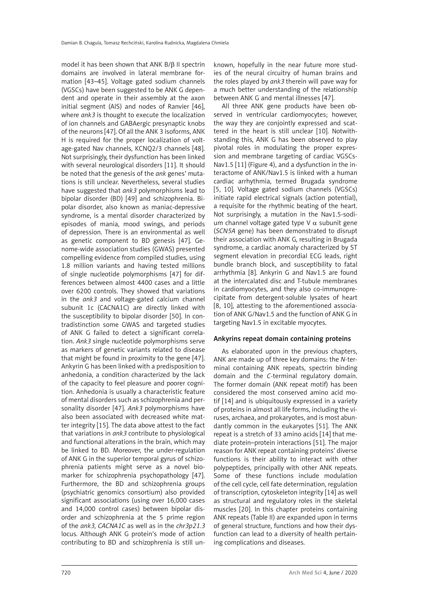model it has been shown that ANK B/β II spectrin domains are involved in lateral membrane formation [43–45]. Voltage gated sodium channels (VGSCs) have been suggested to be ANK G dependent and operate in their assembly at the axon initial segment (AIS) and nodes of Ranvier [46], where *ank3* is thought to execute the localization of ion channels and GABAergic presynaptic knobs of the neurons [47]. Of all the ANK 3 isoforms, ANK H is required for the proper localization of voltage-gated Nav channels, KCNQ2/3 channels [48]. Not surprisingly, their dysfunction has been linked with several neurological disorders [11]. It should be noted that the genesis of the *ank* genes' mutations is still unclear. Nevertheless, several studies have suggested that *ank3* polymorphisms lead to bipolar disorder (BD) [49] and schizophrenia. Bipolar disorder, also known as maniac-depressive syndrome, is a mental disorder characterized by episodes of mania, mood swings, and periods of depression. There is an environmental as well as genetic component to BD genesis [47]. Genome-wide association studies (GWAS) presented compelling evidence from compiled studies, using 1.8 million variants and having tested millions of single nucleotide polymorphisms [47] for differences between almost 4400 cases and a little over 6200 controls. They showed that variations in the *ank3* and voltage-gated calcium channel subunit 1c (CACNA1C) are directly linked with the susceptibility to bipolar disorder [50]. In contradistinction some GWAS and targeted studies of ANK G failed to detect a significant correlation. *Ank3* single nucleotide polymorphisms serve as markers of genetic variants related to disease that might be found in proximity to the gene [47]. Ankyrin G has been linked with a predisposition to anhedonia, a condition characterized by the lack of the capacity to feel pleasure and poorer cognition. Anhedonia is usually a characteristic feature of mental disorders such as schizophrenia and personality disorder [47]. *Ank3* polymorphisms have also been associated with decreased white matter integrity [15]. The data above attest to the fact that variations in *ank3* contribute to physiological and functional alterations in the brain, which may be linked to BD. Moreover, the under-regulation of ANK G in the superior temporal gyrus of schizophrenia patients might serve as a novel biomarker for schizophrenia psychopathology [47]. Furthermore, the BD and schizophrenia groups (psychiatric genomics consortium) also provided significant associations (using over 16,000 cases and 14,000 control cases) between bipolar disorder and schizophrenia at the 5 prime region of the *ank3*, *CACNA1C* as well as in the *chr3p21.3* locus. Although ANK G protein's mode of action contributing to BD and schizophrenia is still un-

known, hopefully in the near future more studies of the neural circuitry of human brains and the roles played by *ank3* therein will pave way for a much better understanding of the relationship between ANK G and mental illnesses [47].

All three ANK gene products have been observed in ventricular cardiomyocytes; however, the way they are conjointly expressed and scattered in the heart is still unclear [10]. Notwithstanding this, ANK G has been observed to play pivotal roles in modulating the proper expression and membrane targeting of cardiac VGSCs-Nav1.5 [11] (Figure 4), and a dysfunction in the interactome of ANK/Nav1.5 is linked with a human cardiac arrhythmia, termed Brugada syndrome [5, 10]. Voltage gated sodium channels (VGSCs) initiate rapid electrical signals (action potential), a requisite for the rhythmic beating of the heart. Not surprisingly, a mutation in the Nav1.5-sodium channel voltage gated type V  $\alpha$  subunit gene (*SCN5A* gene) has been demonstrated to disrupt their association with ANK G, resulting in Brugada syndrome, a cardiac anomaly characterized by ST segment elevation in precordial ECG leads, right bundle branch block, and susceptibility to fatal arrhythmia [8]. Ankyrin G and Nav1.5 are found at the intercalated disc and T-tubule membranes in cardiomyocytes, and they also co-immunoprecipitate from detergent-soluble lysates of heart [8, 10], attesting to the aforementioned association of ANK G/Nav1.5 and the function of ANK G in targeting Nav1.5 in excitable myocytes.

#### Ankyrins repeat domain containing proteins

As elaborated upon in the previous chapters, ANK are made up of three key domains: the *N*-terminal containing ANK repeats, spectrin binding domain and the *C*-terminal regulatory domain. The former domain (ANK repeat motif) has been considered the most conserved amino acid motif [14] and is ubiquitously expressed in a variety of proteins in almost all life forms, including the viruses, archaea, and prokaryotes, and is most abundantly common in the eukaryotes [51]. The ANK repeat is a stretch of 33 amino acids [14] that mediate protein–protein interactions [51]. The major reason for ANK repeat containing proteins' diverse functions is their ability to interact with other polypeptides, principally with other ANK repeats. Some of these functions include modulation of the cell cycle, cell fate determination, regulation of transcription, cytoskeleton integrity [14] as well as structural and regulatory roles in the skeletal muscles [20]. In this chapter proteins containing ANK repeats (Table II) are expanded upon in terms of general structure, functions and how their dysfunction can lead to a diversity of health pertaining complications and diseases.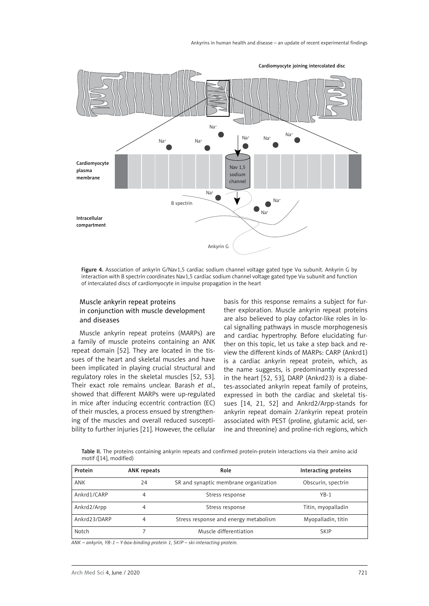

Figure 4. Association of ankyrin G/Nav1,5 cardiac sodium channel voltage gated type Vα subunit. Ankyrin G by interaction with B spectrin coordinates Nav1,5 cardiac sodium channel voltage gated type V $\alpha$  subunit and function of intercalated discs of cardiomyocyte in impulse propagation in the heart

# Muscle ankyrin repeat proteins in conjunction with muscle development and diseases

Muscle ankyrin repeat proteins (MARPs) are a family of muscle proteins containing an ANK repeat domain [52]. They are located in the tissues of the heart and skeletal muscles and have been implicated in playing crucial structural and regulatory roles in the skeletal muscles [52, 53]. Their exact role remains unclear. Barash *et al*., showed that different MARPs were up-regulated in mice after inducing eccentric contraction (EC) of their muscles, a process ensued by strengthening of the muscles and overall reduced susceptibility to further injuries [21]. However, the cellular

basis for this response remains a subject for further exploration. Muscle ankyrin repeat proteins are also believed to play cofactor-like roles in local signalling pathways in muscle morphogenesis and cardiac hypertrophy. Before elucidating further on this topic, let us take a step back and review the different kinds of MARPs: CARP (Ankrd1) is a cardiac ankyrin repeat protein, which, as the name suggests, is predominantly expressed in the heart [52, 53], DARP (Ankrd23) is a diabetes-associated ankyrin repeat family of proteins, expressed in both the cardiac and skeletal tissues [14, 21, 52] and Ankrd2/Arpp-stands for ankyrin repeat domain 2/ankyrin repeat protein associated with PEST (proline, glutamic acid, serine and threonine) and proline-rich regions, which

Table II. The proteins containing ankyrin repeats and confirmed protein-protein interactions via their amino acid motif ([14], modified)

| Protein      | <b>ANK repeats</b> | Role                                  | Interacting proteins |  |
|--------------|--------------------|---------------------------------------|----------------------|--|
| ANK          | 24                 | SR and synaptic membrane organization | Obscurin, spectrin   |  |
| Ankrd1/CARP  | 4                  | Stress response                       | $YB-1$               |  |
| Ankrd2/Arpp  | 4                  | Stress response                       | Titin, myopalladin   |  |
| Ankrd23/DARP | 4                  | Stress response and energy metabolism | Myopalladin, titin   |  |
| Notch        |                    | Muscle differentiation                | <b>SKIP</b>          |  |

*ANK – ankyrin, YB-1 – Y-box-binding protein 1, SKIP – ski-interacting protein.*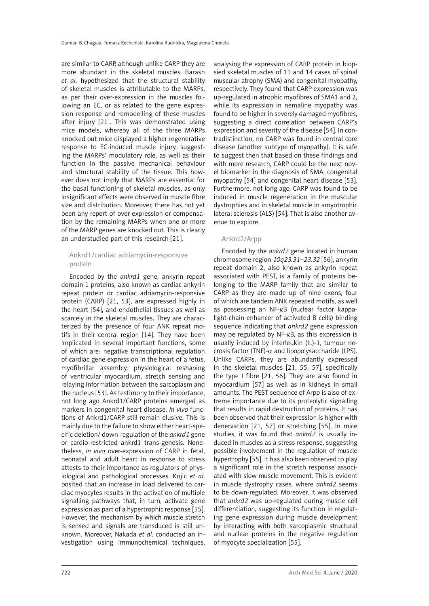are similar to CARP, although unlike CARP they are more abundant in the skeletal muscles. Barash *et al*. hypothesized that the structural stability of skeletal muscles is attributable to the MARPs, as per their over-expression in the muscles following an EC, or as related to the gene expression response and remodelling of these muscles after injury [21]. This was demonstrated using mice models, whereby all of the three MARPs knocked out mice displayed a higher regenerative response to EC-induced muscle injury, suggesting the MARPs' modulatory role, as well as their function in the passive mechanical behaviour and structural stability of the tissue. This however does not imply that MARPs are essential for the basal functioning of skeletal muscles, as only insignificant effects were observed in muscle fibre size and distribution. Moreover, there has not yet been any report of over-expression or compensation by the remaining MARPs when one or more of the MARP genes are knocked out. This is clearly an understudied part of this research [21].

## Ankrd1/cardiac adriamycin-responsive protein

Encoded by the *ankrd1* gene, ankyrin repeat domain 1 proteins, also known as cardiac ankyrin repeat protein or cardiac adriamycin-responsive protein (CARP) [21, 53], are expressed highly in the heart [54], and endothelial tissues as well as scarcely in the skeletal muscles. They are characterized by the presence of four ANK repeat motifs in their central region [14]. They have been implicated in several important functions, some of which are: negative transcriptional regulation of cardiac gene expression in the heart of a fetus, myofibrillar assembly, physiological reshaping of ventricular myocardium, stretch sensing and relaying information between the sarcoplasm and the nucleus [53]. As testimony to their importance, not long ago Ankrd1/CARP proteins emerged as markers in congenital heart disease. *In vivo* functions of Ankrd1/CARP still remain elusive. This is mainly due to the failure to show either heart-specific deletion/ down-regulation of the *ankrd1* gene or cardio-restricted ankrd1 trans-genesis. Nonetheless, *in vivo* over-expression of CARP in fetal, neonatal and adult heart in response to stress attests to their importance as regulators of physiological and pathological processes. Kojic *et al*. posited that an increase in load delivered to cardiac myocytes results in the activation of multiple signalling pathways that, in turn, activate gene expression as part of a hypertrophic response [55]. However, the mechanism by which muscle stretch is sensed and signals are transduced is still unknown. Moreover, Nakada *et al*. conducted an investigation using immunochemical techniques, analysing the expression of CARP protein in biopsied skeletal muscles of 11 and 14 cases of spinal muscular atrophy (SMA) and congenital myopathy, respectively. They found that CARP expression was up-regulated in atrophic myofibres of SMA1 and 2, while its expression in nemaline myopathy was found to be higher in severely damaged myofibres, suggesting a direct correlation between CARP's expression and severity of the disease [54]. In contradistinction, no CARP was found in central core disease (another subtype of myopathy). It is safe to suggest then that based on these findings and with more research, CARP could be the next novel biomarker in the diagnosis of SMA, congenital myopathy [54] and congenital heart disease [53]. Furthermore, not long ago, CARP was found to be induced in muscle regeneration in the muscular dystrophies and in skeletal muscle in amyotrophic lateral sclerosis (ALS) [54]. That is also another avenue to explore.

## Ankrd2/Arpp

Encoded by the *ankrd2* gene located in human chromosome region *10q23.31–23.32* [56], ankyrin repeat domain 2, also known as ankyrin repeat associated with PEST, is a family of proteins belonging to the MARP family that are similar to CARP as they are made up of nine exons, four of which are tandem ANK repeated motifs, as well as possessing an NF-κB (nuclear factor kappalight-chain-enhancer of activated B cells) binding sequence indicating that *ankrd2* gene expression may be regulated by NF-κB, as this expression is usually induced by interleukin (IL)-1, tumour necrosis factor (TNF)- $\alpha$  and lipopolysaccharide (LPS). Unlike CARPs, they are abundantly expressed in the skeletal muscles [21, 55, 57], specifically the type I fibre [21, 56]. They are also found in myocardium [57] as well as in kidneys in small amounts. The PEST sequence of Arpp is also of extreme importance due to its proteolytic signalling that results in rapid destruction of proteins. It has been observed that their expression is higher with denervation [21, 57] or stretching [55]. In mice studies, it was found that *ankrd2* is usually induced in muscles as a stress response, suggesting possible involvement in the regulation of muscle hypertrophy [55]. It has also been observed to play a significant role in the stretch response associated with slow muscle movement. This is evident in muscle dystrophy cases, where *ankrd2* seems to be down-regulated. Moreover, it was observed that *ankrd2* was up-regulated during muscle cell differentiation, suggesting its function in regulating gene expression during muscle development by interacting with both sarcoplasmic structural and nuclear proteins in the negative regulation of myocyte specialization [55].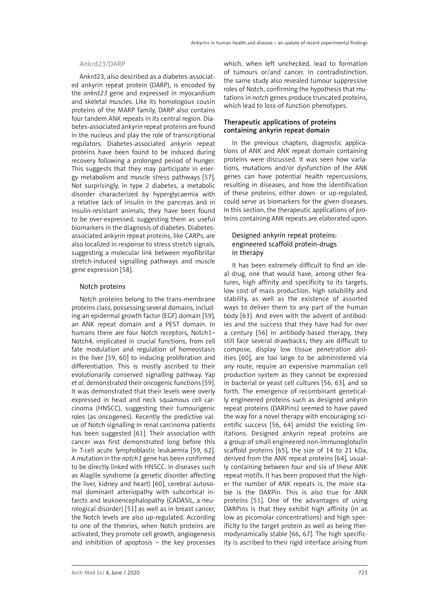#### Ankrd23/DARP

Ankrd23, also described as a diabetes-associated ankyrin repeat protein (DARP), is encoded by the *ankrd23* gene and expressed in myocardium and skeletal muscles. Like its homologous cousin proteins of the MARP family, DARP also contains four tandem ANK repeats in its central region. Diabetes-associated ankyrin repeat proteins are found in the nucleus and play the role of transcriptional regulators. Diabetes-associated ankyrin repeat proteins have been found to be induced during recovery following a prolonged period of hunger. This suggests that they may participate in energy metabolism and muscle stress pathways [57]. Not surprisingly, in type 2 diabetes, a metabolic disorder characterized by hyperglycaemia with a relative lack of insulin in the pancreas and in insulin-resistant animals, they have been found to be over-expressed, suggesting them as useful biomarkers in the diagnosis of diabetes. Diabetesassociated ankyrin repeat proteins, like CARPs, are also localized in response to stress stretch signals, suggesting a molecular link between myofibrillar stretch-induced signalling pathways and muscle gene expression [58].

## Notch proteins

Notch proteins belong to the trans-membrane proteins class, possessing several domains, including an epidermal growth factor (EGF) domain [59], an ANK repeat domain and a PEST domain. In humans there are four Notch receptors, Notch1– Notch4, implicated in crucial functions, from cell fate modulation and regulation of homeostasis in the liver [59, 60] to inducing proliferation and differentiation. This is mostly ascribed to their evolutionarily conserved signalling pathway. Yap *et al*. demonstrated their oncogenic functions [59]. It was demonstrated that their levels were overly expressed in head and neck squamous cell carcinoma (HNSCC), suggesting their tumourigenic roles (as oncogenes). Recently the predictive value of Notch signalling in renal carcinoma patients has been suggested [61]. Their association with cancer was first demonstrated long before this in T-cell acute lymphoblastic leukaemia [59, 62]. A mutation in the *notch1* gene has been confirmed to be directly linked with HNSCC. In diseases such as Alagille syndrome (a genetic disorder affecting the liver, kidney and heart) [60], cerebral autosomal dominant arteriopathy with subcortical infarcts and leukoencephalopathy (CADASIL, a neurological disorder) [51] as well as in breast cancer, the Notch levels are also up-regulated. According to one of the theories, when Notch proteins are activated, they promote cell growth, angiogenesis and inhibition of apoptosis  $-$  the key processes which, when left unchecked, lead to formation of tumours or/and cancer. In contradistinction, the same study also revealed tumour suppressive roles of Notch, confirming the hypothesis that mutations in *notch* genes produce truncated proteins, which lead to loss-of-function phenotypes.

## Therapeutic applications of proteins containing ankyrin repeat domain

In the previous chapters, diagnostic applications of ANK and ANK repeat domain containing proteins were discussed. It was seen how variations, mutations and/or dysfunction of the ANK genes can have potential health repercussions, resulting in diseases, and how the identification of these proteins, either down- or up-regulated, could serve as biomarkers for the given diseases. In this section, the therapeutic applications of proteins containing ANK repeats are elaborated upon.

# Designed ankyrin repeat proteins: engineered scaffold protein-drugs in therapy

It has been extremely difficult to find an ideal drug, one that would have, among other features, high affinity and specificity to its targets, low cost of mass production, high solubility and stability, as well as the existence of assorted ways to deliver them to any part of the human body [63]. And even with the advent of antibodies and the success that they have had for over a century [56] in antibody-based therapy, they still face several drawbacks; they are difficult to compose, display low tissue penetration abilities [60], are too large to be administered via any route, require an expensive mammalian cell production system as they cannot be expressed in bacterial or yeast cell cultures [56, 63], and so forth. The emergence of recombinant genetically engineered proteins such as designed ankyrin repeat proteins (DARPins) seemed to have paved the way for a novel therapy with encouraging scientific success [56, 64] amidst the existing limitations. Designed ankyrin repeat proteins are a group of small engineered non-immunoglobulin scaffold proteins [65], the size of 14 to 21 kDa, derived from the ANK repeat proteins [64], usually containing between four and six of these ANK repeat motifs. It has been proposed that the higher the number of ANK repeats is, the more stable is the DARPin. This is also true for ANK proteins [51]. One of the advantages of using DARPins is that they exhibit high affinity (in as low as picomolar concentrations) and high specificity to the target protein as well as being thermodynamically stable [66, 67]. The high specificity is ascribed to their rigid interface arising from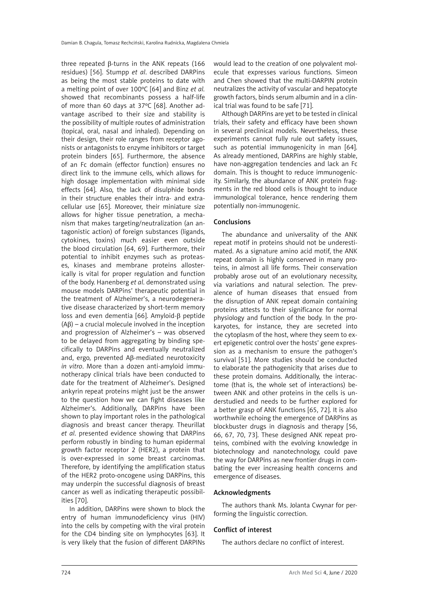three repeated β-turns in the ANK repeats (166 residues) [56]. Stumpp *et al*. described DARPins as being the most stable proteins to date with a melting point of over 100ºC [64] and Binz *et al.* showed that recombinants possess a half-life of more than 60 days at 37ºC [68]. Another advantage ascribed to their size and stability is the possibility of multiple routes of administration (topical, oral, nasal and inhaled). Depending on their design, their role ranges from receptor agonists or antagonists to enzyme inhibitors or target protein binders [65]. Furthermore, the absence of an Fc domain (effector function) ensures no direct link to the immune cells, which allows for high dosage implementation with minimal side effects [64]. Also, the lack of disulphide bonds in their structure enables their intra- and extracellular use [65]. Moreover, their miniature size allows for higher tissue penetration, a mechanism that makes targeting/neutralization (an antagonistic action) of foreign substances (ligands, cytokines, toxins) much easier even outside the blood circulation [64, 69]. Furthermore, their potential to inhibit enzymes such as proteases, kinases and membrane proteins allosterically is vital for proper regulation and function of the body. Hanenberg *et al*. demonstrated using mouse models DARPins' therapeutic potential in the treatment of Alzheimer's, a neurodegenerative disease characterized by short-term memory loss and even dementia [66]. Amyloid-β peptide  $(A\beta)$  – a crucial molecule involved in the inception and progression of Alzheimer's – was observed to be delayed from aggregating by binding specifically to DARPins and eventually neutralized and, ergo, prevented Aβ-mediated neurotoxicity *in vitro*. More than a dozen anti-amyloid immunotherapy clinical trials have been conducted to date for the treatment of Alzheimer's. Designed ankyrin repeat proteins might just be the answer to the question how we can fight diseases like Alzheimer's. Additionally, DARPins have been shown to play important roles in the pathological diagnosis and breast cancer therapy. Theurillat *et al*. presented evidence showing that DARPins perform robustly in binding to human epidermal growth factor receptor 2 (HER2), a protein that is over-expressed in some breast carcinomas. Therefore, by identifying the amplification status of the HER2 proto-oncogene using DARPins, this may underpin the successful diagnosis of breast cancer as well as indicating therapeutic possibilities [70].

In addition, DARPins were shown to block the entry of human immunodeficiency virus (HIV) into the cells by competing with the viral protein for the CD4 binding site on lymphocytes [63]. It is very likely that the fusion of different DARPINs would lead to the creation of one polyvalent molecule that expresses various functions. Simeon and Chen showed that the multi-DARPIN protein neutralizes the activity of vascular and hepatocyte growth factors, binds serum albumin and in a clinical trial was found to be safe [71].

Although DARPins are yet to be tested in clinical trials, their safety and efficacy have been shown in several preclinical models. Nevertheless, these experiments cannot fully rule out safety issues, such as potential immunogenicity in man [64]. As already mentioned, DARPins are highly stable, have non-aggregation tendencies and lack an Fc domain. This is thought to reduce immunogenicity. Similarly, the abundance of ANK protein fragments in the red blood cells is thought to induce immunological tolerance, hence rendering them potentially non-immunogenic.

## **Conclusions**

The abundance and universality of the ANK repeat motif in proteins should not be underestimated. As a signature amino acid motif, the ANK repeat domain is highly conserved in many proteins, in almost all life forms. Their conservation probably arose out of an evolutionary necessity, via variations and natural selection. The prevalence of human diseases that ensued from the disruption of ANK repeat domain containing proteins attests to their significance for normal physiology and function of the body. In the prokaryotes, for instance, they are secreted into the cytoplasm of the host, where they seem to exert epigenetic control over the hosts' gene expression as a mechanism to ensure the pathogen's survival [51]. More studies should be conducted to elaborate the pathogenicity that arises due to these protein domains. Additionally, the interactome (that is, the whole set of interactions) between ANK and other proteins in the cells is understudied and needs to be further explored for a better grasp of ANK functions [65, 72]. It is also worthwhile echoing the emergence of DARPins as blockbuster drugs in diagnosis and therapy [56, 66, 67, 70, 73]. These designed ANK repeat proteins, combined with the evolving knowledge in biotechnology and nanotechnology, could pave the way for DARPins as new frontier drugs in combating the ever increasing health concerns and emergence of diseases.

#### Acknowledgments

The authors thank Ms. Jolanta Cwynar for performing the linguistic correction.

#### Conflict of interest

The authors declare no conflict of interest.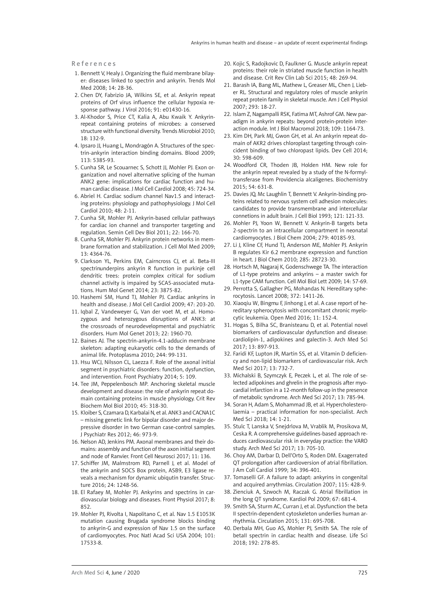References

- 1. Bennett V, Healy J. Organizing the fluid membrane bilayer: diseases linked to spectrin and ankyrin. Trends Mol Med 2008; 14: 28-36.
- 2. Chen DY, Fabrizio JA, Wilkins SE, et al. Ankyrin repeat proteins of Orf virus influence the cellular hypoxia response pathway. J Virol 2016; 91: e01430-16.
- 3. Al-Khodor S, Price CT, Kalia A, Abu Kwaik Y. Ankyrinrepeat containing proteins of microbes: a conserved structure with functional diversity. Trends Microbiol 2010; 18: 132-9.
- 4. Ipsaro JJ, Huang L, Mondragón A. Structures of the spectrin-ankyrin interaction binding domains. Blood 2009; 113: 5385-93.
- 5. Cunha SR, Le Scouarnec S, Schott JJ, Mohler PJ. Exon organization and novel alternative splicing of the human ANK2 gene: implications for cardiac function and human cardiac disease. J Mol Cell Cardiol 2008; 45: 724-34.
- 6. Abriel H. Cardiac sodium channel Nav1.5 and interacting proteins: physiology and pathophysiology. J Mol Cell Cardiol 2010; 48: 2-11.
- 7. Cunha SR, Mohler PJ. Ankyrin-based cellular pathways for cardiac ion channel and transporter targeting and regulation. Semin Cell Dev Biol 2011; 22: 166-70.
- 8. Cunha SR, Mohler PJ. Ankyrin protein networks in membrane formation and stabilization. J Cell Mol Med 2009; 13: 4364-76.
- 9. Clarkson YL, Perkins EM, Cairncross CJ, et al. Beta-III spectrinunderpins ankyrin R function in purkinje cell dendritic trees: protein complex critical for sodium channel activity is impaired by SCA5-associated mutations. Hum Mol Genet 2014; 23: 3875-82.
- 10. Hashemi SM, Hund TJ, Mohler PJ, Cardiac ankyrins in health and disease. J Mol Cell Cardiol 2009; 47: 203-20.
- 11. Iqbal Z, Vandeweyer G, Van der voet M, et al. Homozygous and heterozygous disruptions of ANK3: at the crossroads of neurodevelopmental and psychiatric disorders. Hum Mol Genet 2013; 22: 1960-70.
- 12. Baines AJ. The spectrin-ankyrin-4.1-adducin membrane skeleton: adapting eukaryotic cells to the demands of animal life. Protoplasma 2010; 244: 99-131.
- 13. Hsu WCJ, Nilsson CL, Laezza F. Role of the axonal initial segment in psychiatric disorders: function, dysfunction, and intervention. Front Psychiatry 2014; 5: 109.
- 14. Tee JM, Peppelenbosch MP. Anchoring skeletal muscle development and disease: the role of ankyrin repeat domain containing proteins in muscle physiology. Crit Rev Biochem Mol Biol 2010; 45: 318-30.
- 15. Kloiber S, Czamara D, Karbalai N, et al. ANK3 and CACNA1C – missing genetic link for bipolar disorder and major depressive disorder in two German case-control samples. J Psychiatr Res 2012; 46: 973-9.
- 16. Nelson AD, Jenkins PM. Axonal membranes and their domains: assembly and function of the axon initial segment and node of Ranvier. Front Cell Neurosci 2017; 11: 136.
- 17. Schiffer JM, Malmstrom RD, Parnell J, et al. Model of the ankyrin and SOCS Box protein, ASB9, E3 ligase reveals a mechanism for dynamic ubiqutin transfer. Structure 2016; 24: 1248-56.
- 18. El Rafaey M, Mohler PJ. Ankyrins and spectrins in cardiovascular biology and diseases. Front Physiol 2017; 8: 852.
- 19. Mohler PJ, Rivolta I, Napolitano C, et al. Nav 1.5 E1053K mutation causing Brugada syndrome blocks binding to ankyrin-G and expression of Nav 1.5 on the surface of cardiomyocytes. Proc Natl Acad Sci USA 2004; 101: 17533-8.
- 20. Kojic S, Radojkovic D, Faulkner G. Muscle ankyrin repeat proteins: their role in striated muscle function in health and disease. Crit Rev Clin Lab Sci 2015; 48: 269-94.
- 21. Barash IA, Bang ML, Mathew L, Greaser ML, Chen J, Lieber RL. Structural and regulatory roles of muscle ankyrin repeat protein family in skeletal muscle. Am J Cell Physiol 2007; 293: 18-27.
- 22. Islam Z, Nagampalli RSK, Fatima MT, Ashrof GM. New paradigm in ankyrin repeats: beyond protein-protein interaction module. Int J Biol Macromol 2018; 109: 1164-73.
- 23. Kim DH, Park MJ, Gwon GH, et al. An ankyrin repeat domain of AKR2 drives chloroplast targeting through coincident binding of two chloropast lipids. Dev Cell 2014; 30: 598-609.
- 24. Woodford CR, Thoden JB, Holden HM. New role for the ankyrin repeat revealed by a study of the N-formyltransferase from Providencia alcaligenes. Biochemistry 2015; 54: 631-8.
- 25. Davies JQ, Mc Laughlin T, Bennett V. Ankyrin-binding proteins related to nervous system cell adhesion molecules: candidates to provide transmembrane and intercellular connetions in adult brain. J Cell Biol 1993; 121: 121-33.
- 26. Mohler PJ, Yoon W, Bennett V. Ankyrin-B targets beta 2-spectrin to an intracellular compartment in neonatal cardiomyocytes. J Biol Chem 2004; 279: 40185-93.
- 27. Li J, Kline CF, Hund TJ, Anderson ME, Mohler PJ. Ankyrin B regulates Kir 6.2 membrane expression and function in heart. J Biol Chem 2010; 285: 28723-30.
- 28. Hortsch M, Nagaraj K, Godenschwege TA. The interaction of  $L1$ -type proteins and ankyrins – a master swich for L1-type CAM function. Cell Mol Biol Lett 2009; 14: 57-69.
- 29. Perrotta S, Gallagher PG, Mohandas N. Hereditary spherocytosis. Lancet 2008; 372: 1411-26.
- 30. Xiaoqiu W, Bingmu F, Jinhong J, et al. A case report of hereditary spherocytosis with concomitant chronic myelocytic leukemia. Open Med 2016; 11: 152-4.
- 31. Hogas S, Bilha SC, Branisteanu D, et al. Potential novel biomarkers of cardiovascular dysfunction and disease: cardiolipin-1, adipokines and galectin-3. Arch Med Sci 2017; 13: 897-913.
- 32. Faridi KF, Lupton JR, Martin SS, et al. Vitamin D deficiency and non-lipid biomarkers of cardiovascular risk. Arch Med Sci 2017; 13: 732-7.
- 33. Michalski B, Szymczyk E, Peczek L, et al. The role of selected adipokines and ghrelin in the prognosis after myocardial infarction in a 12-month follow-up in the presence of metabolic syndrome. Arch Med Sci 2017; 13: 785-94.
- 34. Soran H, Adam S, Mohammad JB, et al. Hypercholesterolaemia – practical information for non-specialist. Arch Med Sci 2018; 14: 1-21.
- 35. Stulc T, Lanska V, Snejdrlova M, Vrablik M, Prosikova M, Ceska R. A comprehensive guidelines-based approach reduces cardiovascular risk in everyday practice: the VARO study. Arch Med Sci 2017; 13: 705-10.
- 36. Choy AM, Darbar D, Dell'Orto S, Roden DM. Exagerrated QT prolongation after cardioversion of atrial fibrillation. J Am Coll Cardiol 1999; 34: 396-401.
- 37. Tomaselli GF. A failure to adapt: ankyrins in congenital and acquired arrythmias. Circulation 2007; 115: 428-9.
- 38. Zienciuk A, Szwoch M, Raczak G. Atrial fibrillation in the long QT syndrome. Kardiol Pol 2009; 67: 681-4.
- 39. Smith SA, Sturm AC, Curran J, et al. Dysfunction the beta II spectrin-dependent cytoskeleton underlies human arrhythmia. Circulation 2015; 131: 695-708.
- 40. Derbala MH, Guo AS, Mohler PJ, Smith SA. The role of betaII spectrin in cardiac health and disease. Life Sci 2018; 192: 278-85.